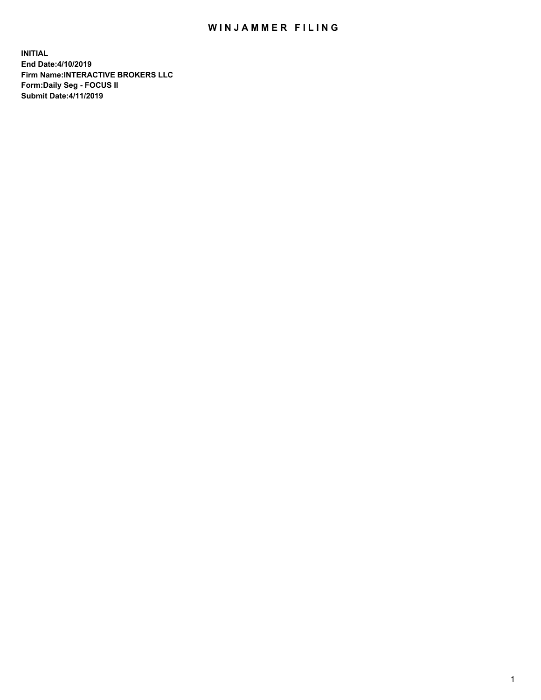## WIN JAMMER FILING

**INITIAL End Date:4/10/2019 Firm Name:INTERACTIVE BROKERS LLC Form:Daily Seg - FOCUS II Submit Date:4/11/2019**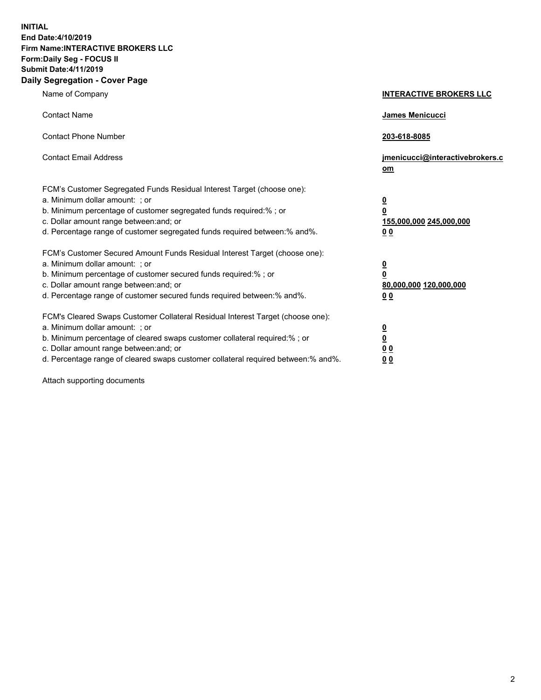**INITIAL End Date:4/10/2019 Firm Name:INTERACTIVE BROKERS LLC Form:Daily Seg - FOCUS II Submit Date:4/11/2019 Daily Segregation - Cover Page**

| Name of Company                                                                                                                                                                                                                                                                                                                | <b>INTERACTIVE BROKERS LLC</b>                                                                  |
|--------------------------------------------------------------------------------------------------------------------------------------------------------------------------------------------------------------------------------------------------------------------------------------------------------------------------------|-------------------------------------------------------------------------------------------------|
| <b>Contact Name</b>                                                                                                                                                                                                                                                                                                            | James Menicucci                                                                                 |
| <b>Contact Phone Number</b>                                                                                                                                                                                                                                                                                                    | 203-618-8085                                                                                    |
| <b>Contact Email Address</b>                                                                                                                                                                                                                                                                                                   | jmenicucci@interactivebrokers.c<br>om                                                           |
| FCM's Customer Segregated Funds Residual Interest Target (choose one):<br>a. Minimum dollar amount: ; or<br>b. Minimum percentage of customer segregated funds required:% ; or<br>c. Dollar amount range between: and; or<br>d. Percentage range of customer segregated funds required between:% and%.                         | $\overline{\mathbf{0}}$<br>$\overline{\mathbf{0}}$<br>155,000,000 245,000,000<br>0 <sub>0</sub> |
| FCM's Customer Secured Amount Funds Residual Interest Target (choose one):<br>a. Minimum dollar amount: ; or<br>b. Minimum percentage of customer secured funds required:%; or<br>c. Dollar amount range between: and; or<br>d. Percentage range of customer secured funds required between:% and%.                            | $\overline{\mathbf{0}}$<br>$\overline{\mathbf{0}}$<br>80,000,000 120,000,000<br>00              |
| FCM's Cleared Swaps Customer Collateral Residual Interest Target (choose one):<br>a. Minimum dollar amount: ; or<br>b. Minimum percentage of cleared swaps customer collateral required:% ; or<br>c. Dollar amount range between: and; or<br>d. Percentage range of cleared swaps customer collateral required between:% and%. | $\overline{\mathbf{0}}$<br>$\underline{\mathbf{0}}$<br>0 <sub>0</sub><br>0 <sub>0</sub>         |

Attach supporting documents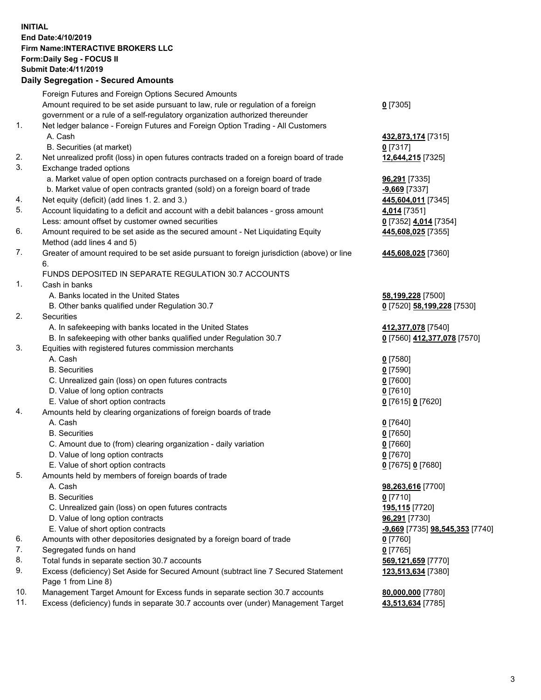## **INITIAL End Date:4/10/2019 Firm Name:INTERACTIVE BROKERS LLC Form:Daily Seg - FOCUS II Submit Date:4/11/2019 Daily Segregation - Secured Amounts**

|                | Daily Əeyleyatıoli - Əeculeu Allıoulits                                                     |                                 |
|----------------|---------------------------------------------------------------------------------------------|---------------------------------|
|                | Foreign Futures and Foreign Options Secured Amounts                                         |                                 |
|                | Amount required to be set aside pursuant to law, rule or regulation of a foreign            | $0$ [7305]                      |
|                | government or a rule of a self-regulatory organization authorized thereunder                |                                 |
| $\mathbf{1}$ . | Net ledger balance - Foreign Futures and Foreign Option Trading - All Customers             |                                 |
|                | A. Cash                                                                                     | 432,873,174 [7315]              |
|                | B. Securities (at market)                                                                   | $0$ [7317]                      |
| 2.             | Net unrealized profit (loss) in open futures contracts traded on a foreign board of trade   | 12,644,215 [7325]               |
| 3.             | Exchange traded options                                                                     |                                 |
|                | a. Market value of open option contracts purchased on a foreign board of trade              | 96,291 [7335]                   |
|                | b. Market value of open contracts granted (sold) on a foreign board of trade                | $-9,669$ [7337]                 |
| 4.             | Net equity (deficit) (add lines 1. 2. and 3.)                                               | 445,604,011 [7345]              |
| 5.             | Account liquidating to a deficit and account with a debit balances - gross amount           | 4,014 [7351]                    |
|                | Less: amount offset by customer owned securities                                            | 0 [7352] 4,014 [7354]           |
| 6.             | Amount required to be set aside as the secured amount - Net Liquidating Equity              | 445,608,025 [7355]              |
|                | Method (add lines 4 and 5)                                                                  |                                 |
| 7.             | Greater of amount required to be set aside pursuant to foreign jurisdiction (above) or line | 445,608,025 [7360]              |
|                | 6.                                                                                          |                                 |
|                | FUNDS DEPOSITED IN SEPARATE REGULATION 30.7 ACCOUNTS                                        |                                 |
| 1.             | Cash in banks                                                                               |                                 |
|                | A. Banks located in the United States                                                       | 58,199,228 [7500]               |
|                | B. Other banks qualified under Regulation 30.7                                              | 0 [7520] 58,199,228 [7530]      |
| 2.             | Securities                                                                                  |                                 |
|                | A. In safekeeping with banks located in the United States                                   | 412,377,078 [7540]              |
|                | B. In safekeeping with other banks qualified under Regulation 30.7                          | 0 [7560] 412,377,078 [7570]     |
| 3.             | Equities with registered futures commission merchants                                       |                                 |
|                | A. Cash                                                                                     | $0$ [7580]                      |
|                | <b>B.</b> Securities                                                                        | $0$ [7590]                      |
|                | C. Unrealized gain (loss) on open futures contracts                                         | $0$ [7600]                      |
|                | D. Value of long option contracts                                                           | $0$ [7610]                      |
|                | E. Value of short option contracts                                                          | 0 [7615] 0 [7620]               |
| 4.             | Amounts held by clearing organizations of foreign boards of trade                           |                                 |
|                | A. Cash                                                                                     | $0$ [7640]                      |
|                | <b>B.</b> Securities                                                                        | $0$ [7650]                      |
|                | C. Amount due to (from) clearing organization - daily variation                             | $0$ [7660]                      |
|                | D. Value of long option contracts                                                           | $0$ [7670]                      |
| 5.             | E. Value of short option contracts                                                          | 0 [7675] 0 [7680]               |
|                | Amounts held by members of foreign boards of trade                                          |                                 |
|                | A. Cash<br><b>B.</b> Securities                                                             | 98,263,616 [7700]               |
|                | C. Unrealized gain (loss) on open futures contracts                                         | $0$ [7710]<br>195,115 [7720]    |
|                | D. Value of long option contracts                                                           | 96,291 [7730]                   |
|                | E. Value of short option contracts                                                          | -9,669 [7735] 98,545,353 [7740] |
| 6.             | Amounts with other depositories designated by a foreign board of trade                      | 0 [7760]                        |
| 7.             | Segregated funds on hand                                                                    | $0$ [7765]                      |
| 8.             | Total funds in separate section 30.7 accounts                                               | 569,121,659 [7770]              |
| 9.             | Excess (deficiency) Set Aside for Secured Amount (subtract line 7 Secured Statement         | 123,513,634 [7380]              |
|                | Page 1 from Line 8)                                                                         |                                 |
| 10.            | Management Target Amount for Excess funds in separate section 30.7 accounts                 | 80,000,000 [7780]               |
| 11.            | Excess (deficiency) funds in separate 30.7 accounts over (under) Management Target          | 43,513,634 [7785]               |
|                |                                                                                             |                                 |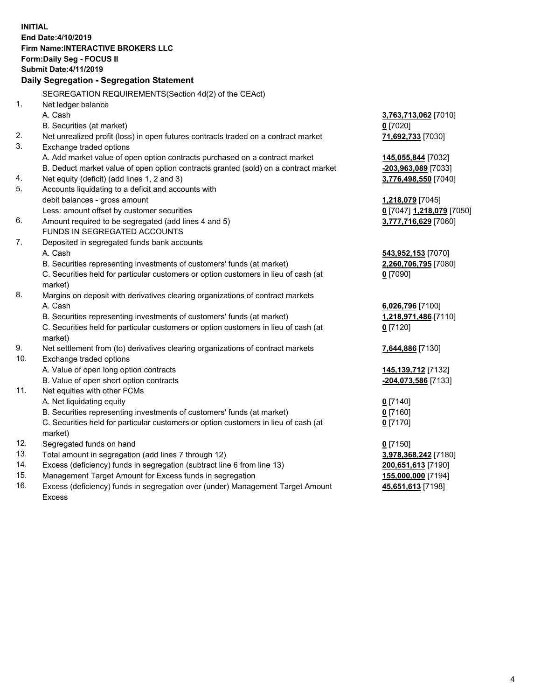**INITIAL End Date:4/10/2019 Firm Name:INTERACTIVE BROKERS LLC Form:Daily Seg - FOCUS II Submit Date:4/11/2019 Daily Segregation - Segregation Statement** SEGREGATION REQUIREMENTS(Section 4d(2) of the CEAct) 1. Net ledger balance A. Cash **3,763,713,062** [7010] B. Securities (at market) **0** [7020] 2. Net unrealized profit (loss) in open futures contracts traded on a contract market **71,692,733** [7030] 3. Exchange traded options A. Add market value of open option contracts purchased on a contract market **145,055,844** [7032] B. Deduct market value of open option contracts granted (sold) on a contract market **-203,963,089** [7033] 4. Net equity (deficit) (add lines 1, 2 and 3) **3,776,498,550** [7040] 5. Accounts liquidating to a deficit and accounts with debit balances - gross amount **1,218,079** [7045] Less: amount offset by customer securities **0** [7047] **1,218,079** [7050] 6. Amount required to be segregated (add lines 4 and 5) **3,777,716,629** [7060] FUNDS IN SEGREGATED ACCOUNTS 7. Deposited in segregated funds bank accounts A. Cash **543,952,153** [7070] B. Securities representing investments of customers' funds (at market) **2,260,706,795** [7080] C. Securities held for particular customers or option customers in lieu of cash (at market) **0** [7090] 8. Margins on deposit with derivatives clearing organizations of contract markets A. Cash **6,026,796** [7100] B. Securities representing investments of customers' funds (at market) **1,218,971,486** [7110] C. Securities held for particular customers or option customers in lieu of cash (at market) **0** [7120] 9. Net settlement from (to) derivatives clearing organizations of contract markets **7,644,886** [7130] 10. Exchange traded options A. Value of open long option contracts **145,139,712** [7132] B. Value of open short option contracts **-204,073,586** [7133] 11. Net equities with other FCMs A. Net liquidating equity **0** [7140] B. Securities representing investments of customers' funds (at market) **0** [7160] C. Securities held for particular customers or option customers in lieu of cash (at market) **0** [7170] 12. Segregated funds on hand **0** [7150] 13. Total amount in segregation (add lines 7 through 12) **3,978,368,242** [7180] 14. Excess (deficiency) funds in segregation (subtract line 6 from line 13) **200,651,613** [7190] 15. Management Target Amount for Excess funds in segregation **155,000,000** [7194] 16. Excess (deficiency) funds in segregation over (under) Management Target Amount **45,651,613** [7198]

Excess